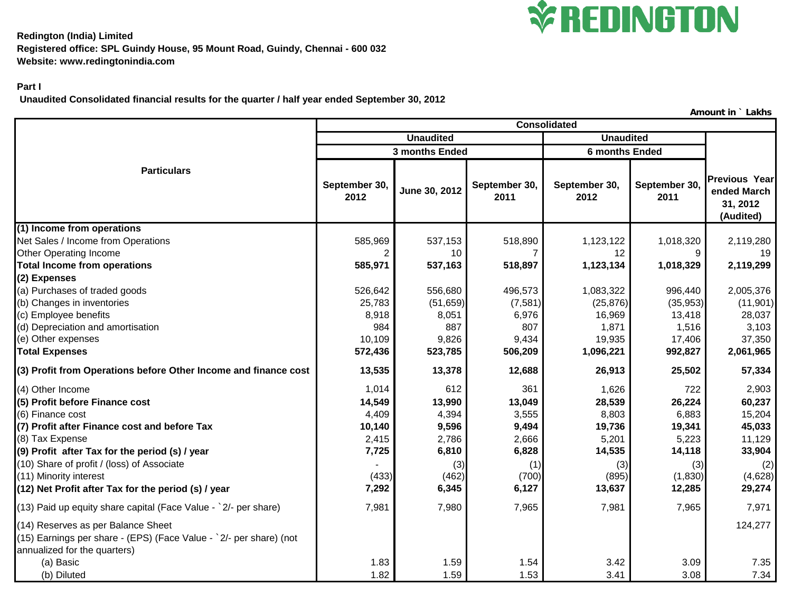

**Redington (India) Limited Registered office: SPL Guindy House, 95 Mount Road, Guindy, Chennai - 600 032 Website: www.redingtonindia.com**

## **Part I**

 **Unaudited Consolidated financial results for the quarter / half year ended September 30, 2012**

**September 30, <sup>2012</sup> June 30, 2012 September 30, 2011 September 30, 2012 September 30, 2011 (1) Income from operations** Net Sales / Income from Operations 585,969 537,153 518,890 1,123,122 1,018,320 2,119,280 Other Operating Income 2 10 12 12 9 19 **Total Income from operations 585,971 537,163 518,897 1,123,134 1,018,329 2,119,299 (2) Expenses** (a) Purchases of traded goods **626,642** 556,680 496,573 1,083,322 996,440 2,005,376 (b) Changes in inventories 25,783 (51,659) (7,581) (25,876) (35,953) (11,901) (c) Employee benefits **8,918** 8,918 8,051 6,976 16,969 13,418 28,037 (d) Depreciation and amortisation 984 l 887 l 1,871 l 1,516 l 3,103 (e) Other expenses 9,826 | 9,434 | 19,935 | 17,406 | 37,350 **Total Expenses 572,436 523,785 506,209 1,096,221 992,827 2,061,965 (3) Profit from Operations before Other Income and finance cost 13,535 13,378 12,688 26,913 25,502 57,334** (4) Other Income 1,014 612 361 1,626 722 2,903 **(5) Profit before Finance cost 14,549 13,990 13,049 28,539 26,224 60,237** (6) Finance cost 4,409 l 4,394 l 3,555 l 6,803 l 6,883 l 15,204 **(7) Profit after Finance cost and before Tax 10,140 9,596 9,494 19,736 19,341 45,033** (8) Tax Expense 2,415 | 2,786 | 2,666 | 5,201 | 5,223 | 11,129 **(9) Profit after Tax for the period (s) / year 7,725 6,810 6,828 14,535 14,118 33,904** (10) Share of profit / (loss) of Associate - (3) (1) (3) (3) (2) (11) Minority interest (433) (462) (700) (895) (1,830) (4,628) **(12) Net Profit after Tax for the period (s) / year 7,292 6,345 6,127 13,637 12,285 29,274** (13) Paid up equity share capital (Face Value - `2/- per share) 7,981 7,980 7,965 7,981 7,965 7,971 (14) Reserves as per Balance Sheet 124,277 (14) Assembly the server as a server as a server as a server as a server of the server as  $\sim$  124,277 (15) Earnings per share - (EPS) (Face Value - `2/- per share) (not annualized for the quarters) (a) Basic 1.83 1.59 1.54 3.42 3.09 7.35 (b) Diluted 1.82 1.59 1.53 3.41 3.08 7.34 **Unaudited Unaudited Particulars 3 months Ended 6 months Ended Consolidated Previous Year ended March 31, 2012 (Audited)**

**Amount in ` Lakhs**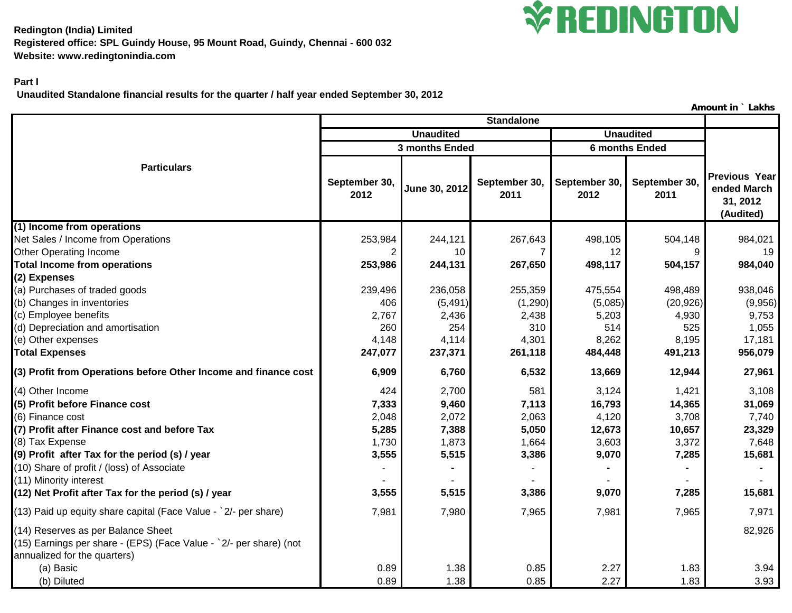

**Redington (India) Limited Registered office: SPL Guindy House, 95 Mount Road, Guindy, Chennai - 600 032 Website: www.redingtonindia.com**

## **Part I**

 **Unaudited Standalone financial results for the quarter / half year ended September 30, 2012**

**Amount in ` Lakhs**

| <b>Standalone</b>                                                                                                                        |                       |               |                       |                       |                       |                                                       |
|------------------------------------------------------------------------------------------------------------------------------------------|-----------------------|---------------|-----------------------|-----------------------|-----------------------|-------------------------------------------------------|
|                                                                                                                                          | <b>Unaudited</b>      |               |                       | <b>Unaudited</b>      |                       |                                                       |
|                                                                                                                                          | 3 months Ended        |               |                       | <b>6 months Ended</b> |                       |                                                       |
| <b>Particulars</b>                                                                                                                       | September 30,<br>2012 | June 30, 2012 | September 30,<br>2011 | September 30,<br>2012 | September 30,<br>2011 | Previous Year<br>ended March<br>31, 2012<br>(Audited) |
| (1) Income from operations                                                                                                               |                       |               |                       |                       |                       |                                                       |
| Net Sales / Income from Operations                                                                                                       | 253,984               | 244,121       | 267,643               | 498,105               | 504,148               | 984,021                                               |
| Other Operating Income                                                                                                                   | 2                     | 10            | 7                     | 12                    | 9                     | 19                                                    |
| <b>Total Income from operations</b>                                                                                                      | 253,986               | 244,131       | 267,650               | 498,117               | 504,157               | 984,040                                               |
| (2) Expenses<br>(a) Purchases of traded goods                                                                                            | 239,496               | 236,058       | 255,359               | 475,554               | 498,489               | 938,046                                               |
| (b) Changes in inventories                                                                                                               | 406                   | (5, 491)      | (1, 290)              | (5,085)               | (20, 926)             | (9,956)                                               |
| (c) Employee benefits                                                                                                                    | 2,767                 | 2,436         | 2,438                 | 5,203                 | 4,930                 | 9,753                                                 |
| (d) Depreciation and amortisation                                                                                                        | 260                   | 254           | 310                   | 514                   | 525                   | 1,055                                                 |
| (e) Other expenses                                                                                                                       | 4,148                 | 4,114         | 4,301                 | 8,262                 | 8,195                 | 17,181                                                |
| <b>Total Expenses</b>                                                                                                                    | 247,077               | 237,371       | 261,118               | 484,448               | 491,213               | 956,079                                               |
| (3) Profit from Operations before Other Income and finance cost                                                                          | 6,909                 | 6,760         | 6,532                 | 13,669                | 12,944                | 27,961                                                |
| (4) Other Income                                                                                                                         | 424                   | 2,700         | 581                   | 3,124                 | 1,421                 | 3,108                                                 |
| (5) Profit before Finance cost                                                                                                           | 7,333                 | 9,460         | 7,113                 | 16,793                | 14,365                | 31,069                                                |
| (6) Finance cost                                                                                                                         | 2,048                 | 2,072         | 2,063                 | 4,120                 | 3,708                 | 7,740                                                 |
| (7) Profit after Finance cost and before Tax                                                                                             | 5,285                 | 7,388         | 5,050                 | 12,673                | 10,657                | 23,329                                                |
| (8) Tax Expense                                                                                                                          | 1,730                 | 1,873         | 1,664                 | 3,603                 | 3,372                 | 7,648                                                 |
| (9) Profit after Tax for the period (s) / year                                                                                           | 3,555                 | 5,515         | 3,386                 | 9,070                 | 7,285                 | 15,681                                                |
| (10) Share of profit / (loss) of Associate<br>(11) Minority interest                                                                     |                       |               |                       |                       |                       |                                                       |
| (12) Net Profit after Tax for the period (s) / year                                                                                      | 3,555                 | 5,515         | 3,386                 | 9,070                 | 7,285                 | 15,681                                                |
| (13) Paid up equity share capital (Face Value - `2/- per share)                                                                          | 7,981                 | 7,980         | 7,965                 | 7,981                 | 7,965                 | 7,971                                                 |
| (14) Reserves as per Balance Sheet<br>(15) Earnings per share - (EPS) (Face Value - `2/- per share) (not<br>annualized for the quarters) |                       |               |                       |                       |                       | 82,926                                                |
| (a) Basic                                                                                                                                | 0.89                  | 1.38          | 0.85                  | 2.27                  | 1.83                  | 3.94                                                  |
| (b) Diluted                                                                                                                              | 0.89                  | 1.38          | 0.85                  | 2.27                  | 1.83                  | 3.93                                                  |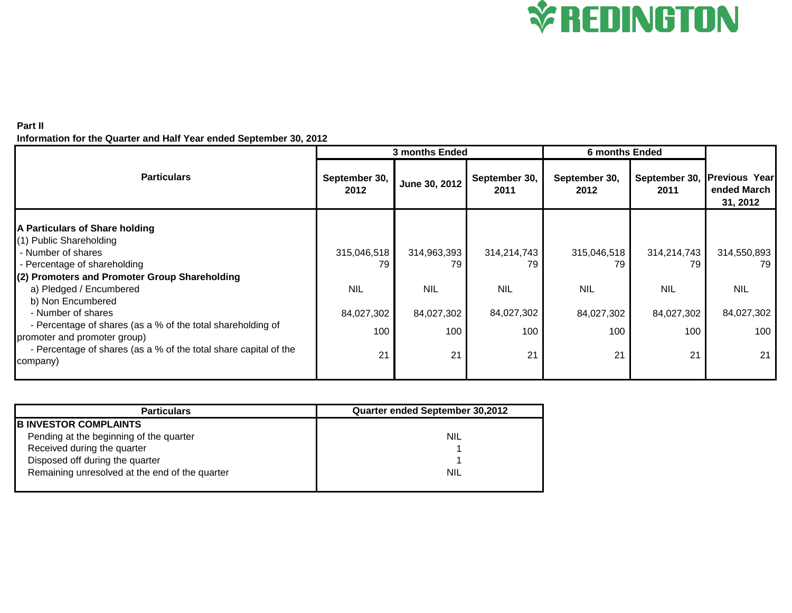

## **Part II Information for the Quarter and Half Year ended September 30, 2012**

|                                                                                             | <b>3 months Ended</b> |               |                       | <b>6 months Ended</b> |                       |                                                 |
|---------------------------------------------------------------------------------------------|-----------------------|---------------|-----------------------|-----------------------|-----------------------|-------------------------------------------------|
| <b>Particulars</b>                                                                          | September 30,<br>2012 | June 30, 2012 | September 30,<br>2011 | September 30,<br>2012 | September 30,<br>2011 | <b>Previous Year</b><br>ended March<br>31, 2012 |
| A Particulars of Share holding                                                              |                       |               |                       |                       |                       |                                                 |
| (1) Public Shareholding                                                                     |                       |               |                       |                       |                       |                                                 |
| - Number of shares                                                                          | 315,046,518           | 314,963,393   | 314,214,743           | 315,046,518           | 314,214,743           | 314,550,893                                     |
| - Percentage of shareholding                                                                | 79                    | 79            | 79                    | 79                    | 79                    | 79                                              |
| (2) Promoters and Promoter Group Shareholding                                               |                       |               |                       |                       |                       |                                                 |
| a) Pledged / Encumbered                                                                     | <b>NIL</b>            | <b>NIL</b>    | <b>NIL</b>            | <b>NIL</b>            | <b>NIL</b>            | <b>NIL</b>                                      |
| b) Non Encumbered                                                                           |                       |               |                       |                       |                       |                                                 |
| - Number of shares                                                                          | 84,027,302            | 84,027,302    | 84,027,302            | 84,027,302            | 84,027,302            | 84,027,302                                      |
| - Percentage of shares (as a % of the total shareholding of<br>promoter and promoter group) | 100                   | 100           | 100                   | 100                   | 100                   | 100                                             |
| - Percentage of shares (as a % of the total share capital of the<br>company)                | 21                    | 21            | 21                    | 21                    | 21                    | 21                                              |

| <b>Particulars</b>                             | Quarter ended September 30,2012 |
|------------------------------------------------|---------------------------------|
| <b>B INVESTOR COMPLAINTS</b>                   |                                 |
| Pending at the beginning of the quarter        | <b>NIL</b>                      |
| Received during the quarter                    |                                 |
| Disposed off during the quarter                |                                 |
| Remaining unresolved at the end of the quarter | <b>NIL</b>                      |
|                                                |                                 |